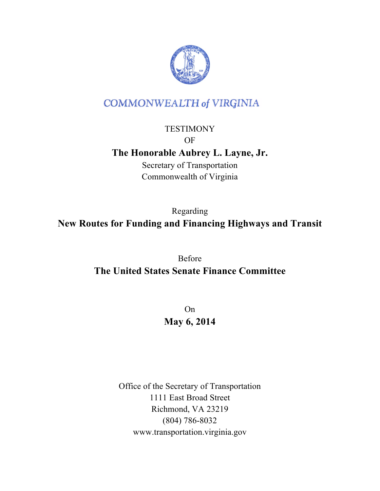

# **COMMONWEALTH of VIRGINIA**

### **TESTIMONY** OF

## **The Honorable Aubrey L. Layne, Jr.**

Secretary of Transportation Commonwealth of Virginia

Regarding **New Routes for Funding and Financing Highways and Transit**

> Before **The United States Senate Finance Committee**

> > On **May 6, 2014**

Office of the Secretary of Transportation 1111 East Broad Street Richmond, VA 23219 (804) 786-8032 www.transportation.virginia.gov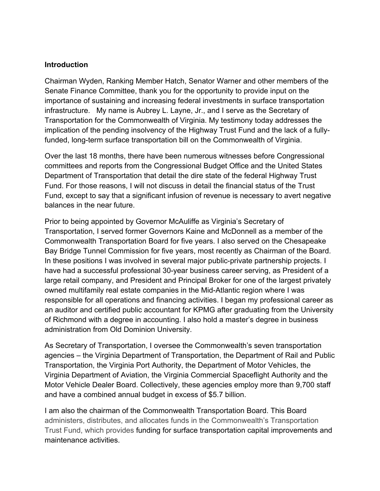#### **Introduction**

Chairman Wyden, Ranking Member Hatch, Senator Warner and other members of the Senate Finance Committee, thank you for the opportunity to provide input on the importance of sustaining and increasing federal investments in surface transportation infrastructure. My name is Aubrey L. Layne, Jr., and I serve as the Secretary of Transportation for the Commonwealth of Virginia. My testimony today addresses the implication of the pending insolvency of the Highway Trust Fund and the lack of a fullyfunded, long-term surface transportation bill on the Commonwealth of Virginia.

Over the last 18 months, there have been numerous witnesses before Congressional committees and reports from the Congressional Budget Office and the United States Department of Transportation that detail the dire state of the federal Highway Trust Fund. For those reasons, I will not discuss in detail the financial status of the Trust Fund, except to say that a significant infusion of revenue is necessary to avert negative balances in the near future.

Prior to being appointed by Governor McAuliffe as Virginia's Secretary of Transportation, I served former Governors Kaine and McDonnell as a member of the Commonwealth Transportation Board for five years. I also served on the Chesapeake Bay Bridge Tunnel Commission for five years, most recently as Chairman of the Board. In these positions I was involved in several major public-private partnership projects. I have had a successful professional 30-year business career serving, as President of a large retail company, and President and Principal Broker for one of the largest privately owned multifamily real estate companies in the Mid-Atlantic region where I was responsible for all operations and financing activities. I began my professional career as an auditor and certified public accountant for KPMG after graduating from the University of Richmond with a degree in accounting. I also hold a master's degree in business administration from Old Dominion University.

As Secretary of Transportation, I oversee the Commonwealth's seven transportation agencies – the Virginia Department of Transportation, the Department of Rail and Public Transportation, the Virginia Port Authority, the Department of Motor Vehicles, the Virginia Department of Aviation, the Virginia Commercial Spaceflight Authority and the Motor Vehicle Dealer Board. Collectively, these agencies employ more than 9,700 staff and have a combined annual budget in excess of \$5.7 billion.

I am also the chairman of the Commonwealth Transportation Board. This Board administers, distributes, and allocates funds in the Commonwealth's Transportation Trust Fund, which provides funding for surface transportation capital improvements and maintenance activities.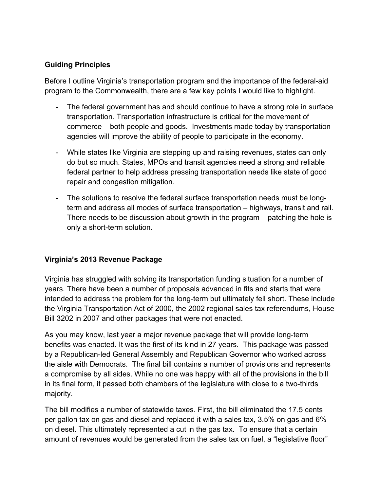#### **Guiding Principles**

Before I outline Virginia's transportation program and the importance of the federal-aid program to the Commonwealth, there are a few key points I would like to highlight.

- The federal government has and should continue to have a strong role in surface transportation. Transportation infrastructure is critical for the movement of commerce – both people and goods. Investments made today by transportation agencies will improve the ability of people to participate in the economy.
- While states like Virginia are stepping up and raising revenues, states can only do but so much. States, MPOs and transit agencies need a strong and reliable federal partner to help address pressing transportation needs like state of good repair and congestion mitigation.
- The solutions to resolve the federal surface transportation needs must be longterm and address all modes of surface transportation – highways, transit and rail. There needs to be discussion about growth in the program – patching the hole is only a short-term solution.

#### **Virginia's 2013 Revenue Package**

Virginia has struggled with solving its transportation funding situation for a number of years. There have been a number of proposals advanced in fits and starts that were intended to address the problem for the long-term but ultimately fell short. These include the Virginia Transportation Act of 2000, the 2002 regional sales tax referendums, House Bill 3202 in 2007 and other packages that were not enacted.

As you may know, last year a major revenue package that will provide long-term benefits was enacted. It was the first of its kind in 27 years. This package was passed by a Republican-led General Assembly and Republican Governor who worked across the aisle with Democrats. The final bill contains a number of provisions and represents a compromise by all sides. While no one was happy with all of the provisions in the bill in its final form, it passed both chambers of the legislature with close to a two-thirds majority.

The bill modifies a number of statewide taxes. First, the bill eliminated the 17.5 cents per gallon tax on gas and diesel and replaced it with a sales tax, 3.5% on gas and 6% on diesel. This ultimately represented a cut in the gas tax. To ensure that a certain amount of revenues would be generated from the sales tax on fuel, a "legislative floor"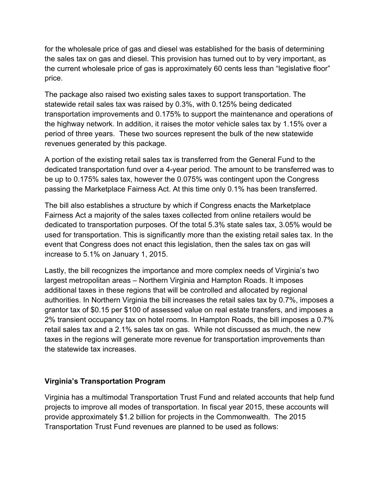for the wholesale price of gas and diesel was established for the basis of determining the sales tax on gas and diesel. This provision has turned out to by very important, as the current wholesale price of gas is approximately 60 cents less than "legislative floor" price.

The package also raised two existing sales taxes to support transportation. The statewide retail sales tax was raised by 0.3%, with 0.125% being dedicated transportation improvements and 0.175% to support the maintenance and operations of the highway network. In addition, it raises the motor vehicle sales tax by 1.15% over a period of three years. These two sources represent the bulk of the new statewide revenues generated by this package.

A portion of the existing retail sales tax is transferred from the General Fund to the dedicated transportation fund over a 4-year period. The amount to be transferred was to be up to 0.175% sales tax, however the 0.075% was contingent upon the Congress passing the Marketplace Fairness Act. At this time only 0.1% has been transferred.

The bill also establishes a structure by which if Congress enacts the Marketplace Fairness Act a majority of the sales taxes collected from online retailers would be dedicated to transportation purposes. Of the total 5.3% state sales tax, 3.05% would be used for transportation. This is significantly more than the existing retail sales tax. In the event that Congress does not enact this legislation, then the sales tax on gas will increase to 5.1% on January 1, 2015.

Lastly, the bill recognizes the importance and more complex needs of Virginia's two largest metropolitan areas – Northern Virginia and Hampton Roads. It imposes additional taxes in these regions that will be controlled and allocated by regional authorities. In Northern Virginia the bill increases the retail sales tax by 0.7%, imposes a grantor tax of \$0.15 per \$100 of assessed value on real estate transfers, and imposes a 2% transient occupancy tax on hotel rooms. In Hampton Roads, the bill imposes a 0.7% retail sales tax and a 2.1% sales tax on gas. While not discussed as much, the new taxes in the regions will generate more revenue for transportation improvements than the statewide tax increases.

#### **Virginia's Transportation Program**

Virginia has a multimodal Transportation Trust Fund and related accounts that help fund projects to improve all modes of transportation. In fiscal year 2015, these accounts will provide approximately \$1.2 billion for projects in the Commonwealth. The 2015 Transportation Trust Fund revenues are planned to be used as follows: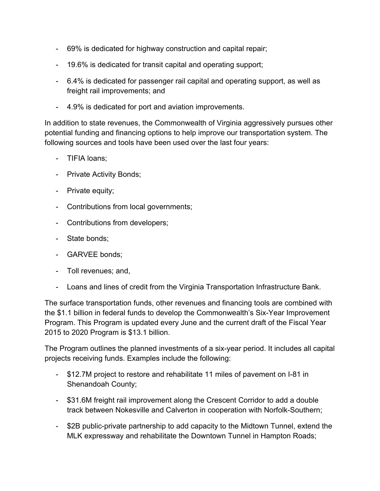- 69% is dedicated for highway construction and capital repair;
- 19.6% is dedicated for transit capital and operating support;
- 6.4% is dedicated for passenger rail capital and operating support, as well as freight rail improvements; and
- 4.9% is dedicated for port and aviation improvements.

In addition to state revenues, the Commonwealth of Virginia aggressively pursues other potential funding and financing options to help improve our transportation system. The following sources and tools have been used over the last four years:

- TIFIA loans;
- Private Activity Bonds;
- Private equity;
- Contributions from local governments;
- Contributions from developers;
- State bonds;
- GARVEE bonds;
- Toll revenues; and,
- Loans and lines of credit from the Virginia Transportation Infrastructure Bank.

The surface transportation funds, other revenues and financing tools are combined with the \$1.1 billion in federal funds to develop the Commonwealth's Six-Year Improvement Program. This Program is updated every June and the current draft of the Fiscal Year 2015 to 2020 Program is \$13.1 billion.

The Program outlines the planned investments of a six-year period. It includes all capital projects receiving funds. Examples include the following:

- \$12.7M project to restore and rehabilitate 11 miles of pavement on I-81 in Shenandoah County;
- \$31.6M freight rail improvement along the Crescent Corridor to add a double track between Nokesville and Calverton in cooperation with Norfolk-Southern;
- \$2B public-private partnership to add capacity to the Midtown Tunnel, extend the MLK expressway and rehabilitate the Downtown Tunnel in Hampton Roads;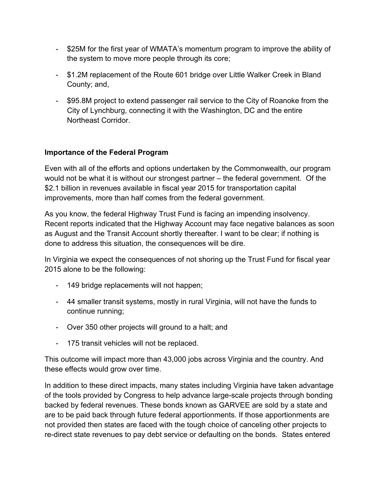- \$25M for the first year of WMATA's momentum program to improve the ability of the system to move more people through its core;
- \$1.2M replacement of the Route 601 bridge over Little Walker Creek in Bland County; and,
- \$95.8M project to extend passenger rail service to the City of Roanoke from the City of Lynchburg, connecting it with the Washington, DC and the entire Northeast Corridor.

#### **Importance of the Federal Program**

Even with all of the efforts and options undertaken by the Commonwealth, our program would not be what it is without our strongest partner – the federal government. Of the \$2.1 billion in revenues available in fiscal year 2015 for transportation capital improvements, more than half comes from the federal government.

As you know, the federal Highway Trust Fund is facing an impending insolvency. Recent reports indicated that the Highway Account may face negative balances as soon as August and the Transit Account shortly thereafter. I want to be clear; if nothing is done to address this situation, the consequences will be dire.

In Virginia we expect the consequences of not shoring up the Trust Fund for fiscal year 2015 alone to be the following:

- 149 bridge replacements will not happen;
- 44 smaller transit systems, mostly in rural Virginia, will not have the funds to continue running;
- Over 350 other projects will ground to a halt; and
- 175 transit vehicles will not be replaced.

This outcome will impact more than 43,000 jobs across Virginia and the country. And these effects would grow over time.

In addition to these direct impacts, many states including Virginia have taken advantage of the tools provided by Congress to help advance large-scale projects through bonding backed by federal revenues. These bonds known as GARVEE are sold by a state and are to be paid back through future federal apportionments. If those apportionments are not provided then states are faced with the tough choice of canceling other projects to re-direct state revenues to pay debt service or defaulting on the bonds. States entered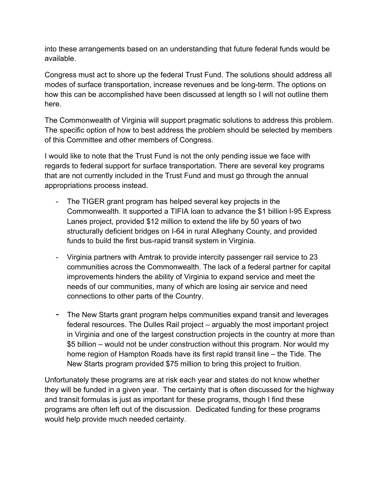into these arrangements based on an understanding that future federal funds would be available.

Congress must act to shore up the federal Trust Fund. The solutions should address all modes of surface transportation, increase revenues and be long-term. The options on how this can be accomplished have been discussed at length so I will not outline them here.

The Commonwealth of Virginia will support pragmatic solutions to address this problem. The specific option of how to best address the problem should be selected by members of this Committee and other members of Congress.

I would like to note that the Trust Fund is not the only pending issue we face with regards to federal support for surface transportation. There are several key programs that are not currently included in the Trust Fund and must go through the annual appropriations process instead.

- The TIGER grant program has helped several key projects in the Commonwealth. It supported a TIFIA loan to advance the \$1 billion I-95 Express Lanes project, provided \$12 million to extend the life by 50 years of two structurally deficient bridges on I-64 in rural Alleghany County, and provided funds to build the first bus-rapid transit system in Virginia.
- Virginia partners with Amtrak to provide intercity passenger rail service to 23 communities across the Commonwealth. The lack of a federal partner for capital improvements hinders the ability of Virginia to expand service and meet the needs of our communities, many of which are losing air service and need connections to other parts of the Country.
- The New Starts grant program helps communities expand transit and leverages federal resources. The Dulles Rail project – arguably the most important project in Virginia and one of the largest construction projects in the country at more than \$5 billion – would not be under construction without this program. Nor would my home region of Hampton Roads have its first rapid transit line – the Tide. The New Starts program provided \$75 million to bring this project to fruition.

Unfortunately these programs are at risk each year and states do not know whether they will be funded in a given year. The certainty that is often discussed for the highway and transit formulas is just as important for these programs, though I find these programs are often left out of the discussion. Dedicated funding for these programs would help provide much needed certainty.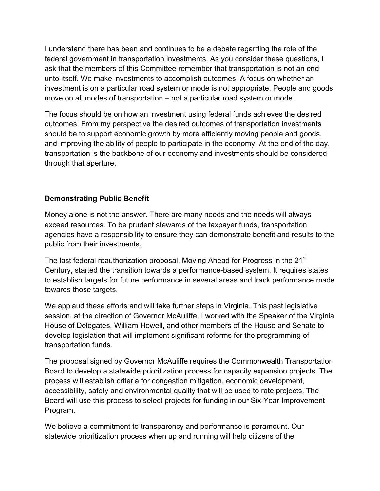I understand there has been and continues to be a debate regarding the role of the federal government in transportation investments. As you consider these questions, I ask that the members of this Committee remember that transportation is not an end unto itself. We make investments to accomplish outcomes. A focus on whether an investment is on a particular road system or mode is not appropriate. People and goods move on all modes of transportation – not a particular road system or mode.

The focus should be on how an investment using federal funds achieves the desired outcomes. From my perspective the desired outcomes of transportation investments should be to support economic growth by more efficiently moving people and goods, and improving the ability of people to participate in the economy. At the end of the day, transportation is the backbone of our economy and investments should be considered through that aperture.

#### **Demonstrating Public Benefit**

Money alone is not the answer. There are many needs and the needs will always exceed resources. To be prudent stewards of the taxpayer funds, transportation agencies have a responsibility to ensure they can demonstrate benefit and results to the public from their investments.

The last federal reauthorization proposal, Moving Ahead for Progress in the 21<sup>st</sup> Century, started the transition towards a performance-based system. It requires states to establish targets for future performance in several areas and track performance made towards those targets.

We applaud these efforts and will take further steps in Virginia. This past legislative session, at the direction of Governor McAuliffe, I worked with the Speaker of the Virginia House of Delegates, William Howell, and other members of the House and Senate to develop legislation that will implement significant reforms for the programming of transportation funds.

The proposal signed by Governor McAuliffe requires the Commonwealth Transportation Board to develop a statewide prioritization process for capacity expansion projects. The process will establish criteria for congestion mitigation, economic development, accessibility, safety and environmental quality that will be used to rate projects. The Board will use this process to select projects for funding in our Six-Year Improvement Program.

We believe a commitment to transparency and performance is paramount. Our statewide prioritization process when up and running will help citizens of the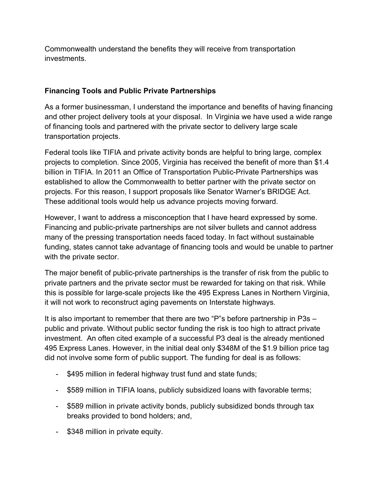Commonwealth understand the benefits they will receive from transportation investments.

#### **Financing Tools and Public Private Partnerships**

As a former businessman, I understand the importance and benefits of having financing and other project delivery tools at your disposal. In Virginia we have used a wide range of financing tools and partnered with the private sector to delivery large scale transportation projects.

Federal tools like TIFIA and private activity bonds are helpful to bring large, complex projects to completion. Since 2005, Virginia has received the benefit of more than \$1.4 billion in TIFIA. In 2011 an Office of Transportation Public-Private Partnerships was established to allow the Commonwealth to better partner with the private sector on projects. For this reason, I support proposals like Senator Warner's BRIDGE Act. These additional tools would help us advance projects moving forward.

However, I want to address a misconception that I have heard expressed by some. Financing and public-private partnerships are not silver bullets and cannot address many of the pressing transportation needs faced today. In fact without sustainable funding, states cannot take advantage of financing tools and would be unable to partner with the private sector.

The major benefit of public-private partnerships is the transfer of risk from the public to private partners and the private sector must be rewarded for taking on that risk. While this is possible for large-scale projects like the 495 Express Lanes in Northern Virginia, it will not work to reconstruct aging pavements on Interstate highways.

It is also important to remember that there are two "P"s before partnership in P3s – public and private. Without public sector funding the risk is too high to attract private investment. An often cited example of a successful P3 deal is the already mentioned 495 Express Lanes. However, in the initial deal only \$348M of the \$1.9 billion price tag did not involve some form of public support. The funding for deal is as follows:

- \$495 million in federal highway trust fund and state funds;
- \$589 million in TIFIA loans, publicly subsidized loans with favorable terms;
- \$589 million in private activity bonds, publicly subsidized bonds through tax breaks provided to bond holders; and,
- \$348 million in private equity.